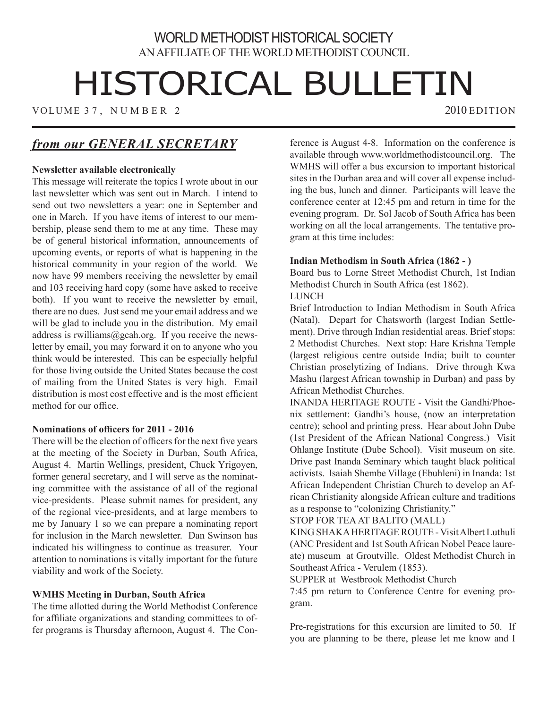## WORLD METHODIST HISTORICAL SOCIETY AN AFFILIATE OF THE WORLD METHODIST COUNCIL

# HISTORICAL BULLETIN

VOLUME 37, NUMBER 2 2010 EDITION

# *from our GENERAL SECRETARY*

#### **Newsletter available electronically**

This message will reiterate the topics I wrote about in our last newsletter which was sent out in March. I intend to send out two newsletters a year: one in September and one in March. If you have items of interest to our membership, please send them to me at any time. These may be of general historical information, announcements of upcoming events, or reports of what is happening in the historical community in your region of the world. We now have 99 members receiving the newsletter by email and 103 receiving hard copy (some have asked to receive both). If you want to receive the newsletter by email, there are no dues. Just send me your email address and we will be glad to include you in the distribution. My email address is rwilliams@gcah.org. If you receive the newsletter by email, you may forward it on to anyone who you think would be interested. This can be especially helpful for those living outside the United States because the cost of mailing from the United States is very high. Email distribution is most cost effective and is the most efficient method for our office.

#### **Nominations of officers for 2011 - 2016**

There will be the election of officers for the next five years at the meeting of the Society in Durban, South Africa, August 4. Martin Wellings, president, Chuck Yrigoyen, former general secretary, and I will serve as the nominating committee with the assistance of all of the regional vice-presidents. Please submit names for president, any of the regional vice-presidents, and at large members to me by January 1 so we can prepare a nominating report for inclusion in the March newsletter. Dan Swinson has indicated his willingness to continue as treasurer. Your attention to nominations is vitally important for the future viability and work of the Society.

#### **WMHS Meeting in Durban, South Africa**

The time allotted during the World Methodist Conference for affiliate organizations and standing committees to offer programs is Thursday afternoon, August 4. The Conference is August 4-8. Information on the conference is available through www.worldmethodistcouncil.org. The WMHS will offer a bus excursion to important historical sites in the Durban area and will cover all expense including the bus, lunch and dinner. Participants will leave the conference center at 12:45 pm and return in time for the evening program. Dr. Sol Jacob of South Africa has been working on all the local arrangements. The tentative program at this time includes:

#### **Indian Methodism in South Africa (1862 - )**

Board bus to Lorne Street Methodist Church, 1st Indian Methodist Church in South Africa (est 1862).

#### **LUNCH**

Brief Introduction to Indian Methodism in South Africa (Natal). Depart for Chatsworth (largest Indian Settlement). Drive through Indian residential areas. Brief stops: 2 Methodist Churches. Next stop: Hare Krishna Temple (largest religious centre outside India; built to counter Christian proselytizing of Indians. Drive through Kwa Mashu (largest African township in Durban) and pass by African Methodist Churches.

INANDA HERITAGE ROUTE - Visit the Gandhi/Phoenix settlement: Gandhi's house, (now an interpretation centre); school and printing press. Hear about John Dube (1st President of the African National Congress.) Visit Ohlange Institute (Dube School). Visit museum on site. Drive past Inanda Seminary which taught black political activists. Isaiah Shembe Village (Ebuhleni) in Inanda: 1st African Independent Christian Church to develop an African Christianity alongside African culture and traditions as a response to "colonizing Christianity."

STOP FOR TEA AT BALITO (MALL)

KING SHAKA HERITAGE ROUTE - Visit Albert Luthuli (ANC President and 1st South African Nobel Peace laureate) museum at Groutville. Oldest Methodist Church in Southeast Africa - Verulem (1853).

SUPPER at Westbrook Methodist Church

7:45 pm return to Conference Centre for evening program.

Pre-registrations for this excursion are limited to 50. If you are planning to be there, please let me know and I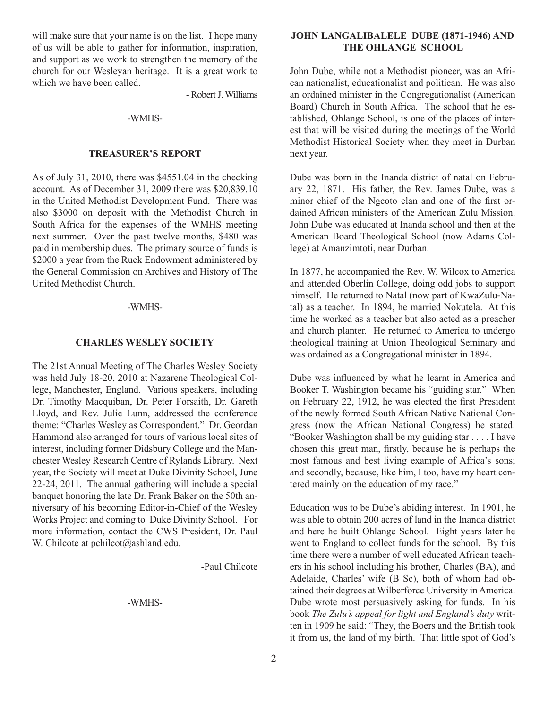will make sure that your name is on the list. I hope many of us will be able to gather for information, inspiration, and support as we work to strengthen the memory of the church for our Wesleyan heritage. It is a great work to which we have been called.

- Robert J. Williams

#### -WMHS-

#### **Treasurer's Report**

As of July 31, 2010, there was \$4551.04 in the checking account. As of December 31, 2009 there was \$20,839.10 in the United Methodist Development Fund. There was also \$3000 on deposit with the Methodist Church in South Africa for the expenses of the WMHS meeting next summer. Over the past twelve months, \$480 was paid in membership dues. The primary source of funds is \$2000 a year from the Ruck Endowment administered by the General Commission on Archives and History of The United Methodist Church.

#### -WMHS-

#### **Charles Wesley Society**

The 21st Annual Meeting of The Charles Wesley Society was held July 18-20, 2010 at Nazarene Theological College, Manchester, England. Various speakers, including Dr. Timothy Macquiban, Dr. Peter Forsaith, Dr. Gareth Lloyd, and Rev. Julie Lunn, addressed the conference theme: "Charles Wesley as Correspondent." Dr. Geordan Hammond also arranged for tours of various local sites of interest, including former Didsbury College and the Manchester Wesley Research Centre of Rylands Library. Next year, the Society will meet at Duke Divinity School, June 22-24, 2011. The annual gathering will include a special banquet honoring the late Dr. Frank Baker on the 50th anniversary of his becoming Editor-in-Chief of the Wesley Works Project and coming to Duke Divinity School. For more information, contact the CWS President, Dr. Paul W. Chilcote at pchilcot@ashland.edu.

-Paul Chilcote

-WMHS-

#### **JOHN LANGALIBALELE DUBE (1871-1946) AND THE OHLANGE SCHOOL**

John Dube, while not a Methodist pioneer, was an African nationalist, educationalist and politican. He was also an ordained minister in the Congregationalist (American Board) Church in South Africa. The school that he established, Ohlange School, is one of the places of interest that will be visited during the meetings of the World Methodist Historical Society when they meet in Durban next year.

Dube was born in the Inanda district of natal on February 22, 1871. His father, the Rev. James Dube, was a minor chief of the Ngcoto clan and one of the first ordained African ministers of the American Zulu Mission. John Dube was educated at Inanda school and then at the American Board Theological School (now Adams College) at Amanzimtoti, near Durban.

In 1877, he accompanied the Rev. W. Wilcox to America and attended Oberlin College, doing odd jobs to support himself. He returned to Natal (now part of KwaZulu-Natal) as a teacher. In 1894, he married Nokutela. At this time he worked as a teacher but also acted as a preacher and church planter. He returned to America to undergo theological training at Union Theological Seminary and was ordained as a Congregational minister in 1894.

Dube was influenced by what he learnt in America and Booker T. Washington became his "guiding star." When on February 22, 1912, he was elected the first President of the newly formed South African Native National Congress (now the African National Congress) he stated: "Booker Washington shall be my guiding star . . . . I have chosen this great man, firstly, because he is perhaps the most famous and best living example of Africa's sons; and secondly, because, like him, I too, have my heart centered mainly on the education of my race."

Education was to be Dube's abiding interest. In 1901, he was able to obtain 200 acres of land in the Inanda district and here he built Ohlange School. Eight years later he went to England to collect funds for the school. By this time there were a number of well educated African teachers in his school including his brother, Charles (BA), and Adelaide, Charles' wife (B Sc), both of whom had obtained their degrees at Wilberforce University in America. Dube wrote most persuasively asking for funds. In his book *The Zulu's appeal for light and England's duty* written in 1909 he said: "They, the Boers and the British took it from us, the land of my birth. That little spot of God's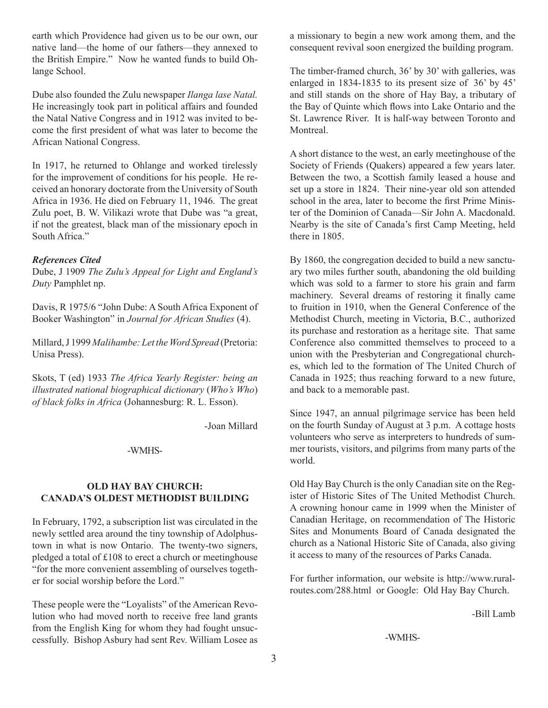earth which Providence had given us to be our own, our native land—the home of our fathers—they annexed to the British Empire." Now he wanted funds to build Ohlange School.

Dube also founded the Zulu newspaper *Ilanga lase Natal.* He increasingly took part in political affairs and founded the Natal Native Congress and in 1912 was invited to become the first president of what was later to become the African National Congress.

In 1917, he returned to Ohlange and worked tirelessly for the improvement of conditions for his people. He received an honorary doctorate from the University of South Africa in 1936. He died on February 11, 1946. The great Zulu poet, B. W. Vilikazi wrote that Dube was "a great, if not the greatest, black man of the missionary epoch in South Africa."

#### *References Cited*

Dube, J 1909 *The Zulu's Appeal for Light and England's Duty* Pamphlet np.

Davis, R 1975/6 "John Dube: A South Africa Exponent of Booker Washington" in *Journal for African Studies* (4).

Millard, J 1999 *Malihambe: Let the Word Spread* (Pretoria: Unisa Press).

Skots, T (ed) 1933 *The Africa Yearly Register: being an illustrated national biographical dictionary* (*Who's Who*) *of black folks in Africa* (Johannesburg: R. L. Esson).

-Joan Millard

#### -WMHS-

#### **OLD HAY BAY CHURCH: CANADA'S OLDEST METHODIST BUILDING**

In February, 1792, a subscription list was circulated in the newly settled area around the tiny township of Adolphustown in what is now Ontario. The twenty-two signers, pledged a total of £108 to erect a church or meetinghouse "for the more convenient assembling of ourselves together for social worship before the Lord."

These people were the "Loyalists" of the American Revolution who had moved north to receive free land grants from the English King for whom they had fought unsuccessfully. Bishop Asbury had sent Rev. William Losee as a missionary to begin a new work among them, and the consequent revival soon energized the building program.

The timber-framed church, 36' by 30' with galleries, was enlarged in 1834-1835 to its present size of 36' by 45' and still stands on the shore of Hay Bay, a tributary of the Bay of Quinte which flows into Lake Ontario and the St. Lawrence River. It is half-way between Toronto and **Montreal** 

A short distance to the west, an early meetinghouse of the Society of Friends (Quakers) appeared a few years later. Between the two, a Scottish family leased a house and set up a store in 1824. Their nine-year old son attended school in the area, later to become the first Prime Minister of the Dominion of Canada—Sir John A. Macdonald. Nearby is the site of Canada's first Camp Meeting, held there in 1805.

By 1860, the congregation decided to build a new sanctuary two miles further south, abandoning the old building which was sold to a farmer to store his grain and farm machinery. Several dreams of restoring it finally came to fruition in 1910, when the General Conference of the Methodist Church, meeting in Victoria, B.C., authorized its purchase and restoration as a heritage site. That same Conference also committed themselves to proceed to a union with the Presbyterian and Congregational churches, which led to the formation of The United Church of Canada in 1925; thus reaching forward to a new future, and back to a memorable past.

Since 1947, an annual pilgrimage service has been held on the fourth Sunday of August at 3 p.m. A cottage hosts volunteers who serve as interpreters to hundreds of summer tourists, visitors, and pilgrims from many parts of the world.

Old Hay Bay Church is the only Canadian site on the Register of Historic Sites of The United Methodist Church. A crowning honour came in 1999 when the Minister of Canadian Heritage, on recommendation of The Historic Sites and Monuments Board of Canada designated the church as a National Historic Site of Canada, also giving it access to many of the resources of Parks Canada.

For further information, our website is http://www.ruralroutes.com/288.html or Google: Old Hay Bay Church.

-Bill Lamb

-WMHS-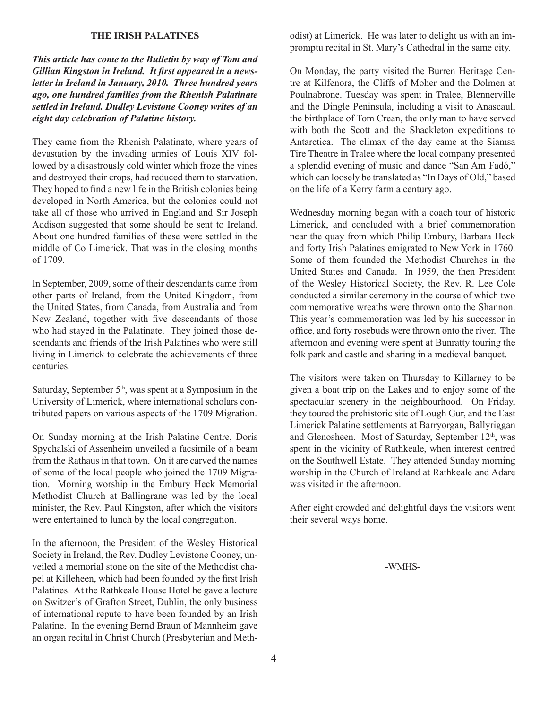#### **THE IRISH PALATINES**

*This article has come to the Bulletin by way of Tom and Gillian Kingston in Ireland. It first appeared in a newsletter in Ireland in January, 2010. Three hundred years ago, one hundred families from the Rhenish Palatinate settled in Ireland. Dudley Levistone Cooney writes of an eight day celebration of Palatine history.*

They came from the Rhenish Palatinate, where years of devastation by the invading armies of Louis XIV followed by a disastrously cold winter which froze the vines and destroyed their crops, had reduced them to starvation. They hoped to find a new life in the British colonies being developed in North America, but the colonies could not take all of those who arrived in England and Sir Joseph Addison suggested that some should be sent to Ireland. About one hundred families of these were settled in the middle of Co Limerick. That was in the closing months of 1709.

In September, 2009, some of their descendants came from other parts of Ireland, from the United Kingdom, from the United States, from Canada, from Australia and from New Zealand, together with five descendants of those who had stayed in the Palatinate. They joined those descendants and friends of the Irish Palatines who were still living in Limerick to celebrate the achievements of three centuries.

Saturday, September  $5<sup>th</sup>$ , was spent at a Symposium in the University of Limerick, where international scholars contributed papers on various aspects of the 1709 Migration.

On Sunday morning at the Irish Palatine Centre, Doris Spychalski of Assenheim unveiled a facsimile of a beam from the Rathaus in that town. On it are carved the names of some of the local people who joined the 1709 Migration. Morning worship in the Embury Heck Memorial Methodist Church at Ballingrane was led by the local minister, the Rev. Paul Kingston, after which the visitors were entertained to lunch by the local congregation.

In the afternoon, the President of the Wesley Historical Society in Ireland, the Rev. Dudley Levistone Cooney, unveiled a memorial stone on the site of the Methodist chapel at Killeheen, which had been founded by the first Irish Palatines. At the Rathkeale House Hotel he gave a lecture on Switzer's of Grafton Street, Dublin, the only business of international repute to have been founded by an Irish Palatine. In the evening Bernd Braun of Mannheim gave an organ recital in Christ Church (Presbyterian and Methodist) at Limerick. He was later to delight us with an impromptu recital in St. Mary's Cathedral in the same city.

On Monday, the party visited the Burren Heritage Centre at Kilfenora, the Cliffs of Moher and the Dolmen at Poulnabrone. Tuesday was spent in Tralee, Blennerville and the Dingle Peninsula, including a visit to Anascaul, the birthplace of Tom Crean, the only man to have served with both the Scott and the Shackleton expeditions to Antarctica. The climax of the day came at the Siamsa Tire Theatre in Tralee where the local company presented a splendid evening of music and dance "San Am Fadó," which can loosely be translated as "In Days of Old," based on the life of a Kerry farm a century ago.

Wednesday morning began with a coach tour of historic Limerick, and concluded with a brief commemoration near the quay from which Philip Embury, Barbara Heck and forty Irish Palatines emigrated to New York in 1760. Some of them founded the Methodist Churches in the United States and Canada. In 1959, the then President of the Wesley Historical Society, the Rev. R. Lee Cole conducted a similar ceremony in the course of which two commemorative wreaths were thrown onto the Shannon. This year's commemoration was led by his successor in office, and forty rosebuds were thrown onto the river. The afternoon and evening were spent at Bunratty touring the folk park and castle and sharing in a medieval banquet.

The visitors were taken on Thursday to Killarney to be given a boat trip on the Lakes and to enjoy some of the spectacular scenery in the neighbourhood. On Friday, they toured the prehistoric site of Lough Gur, and the East Limerick Palatine settlements at Barryorgan, Ballyriggan and Glenosheen. Most of Saturday, September 12<sup>th</sup>, was spent in the vicinity of Rathkeale, when interest centred on the Southwell Estate. They attended Sunday morning worship in the Church of Ireland at Rathkeale and Adare was visited in the afternoon.

After eight crowded and delightful days the visitors went their several ways home.

<sup>-</sup>WMHS-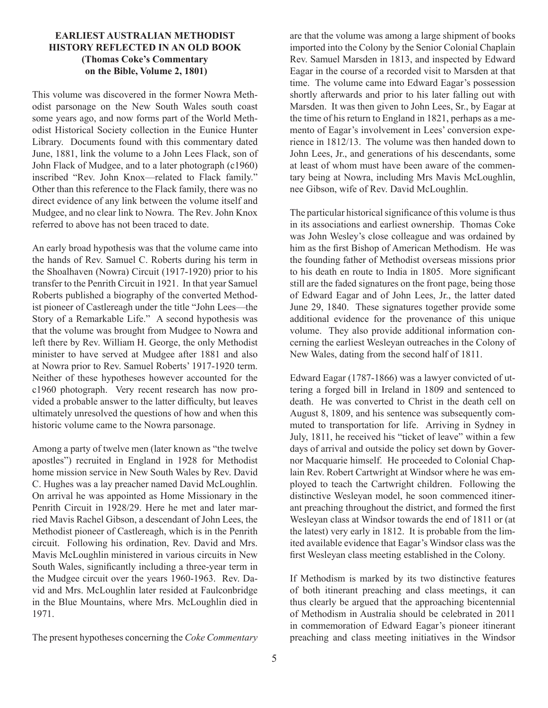#### **EARLIEST AUSTRALIAN METHODIST HISTORY REFLECTED IN AN OLD BOOK (Thomas Coke's Commentary on the Bible, Volume 2, 1801)**

This volume was discovered in the former Nowra Methodist parsonage on the New South Wales south coast some years ago, and now forms part of the World Methodist Historical Society collection in the Eunice Hunter Library. Documents found with this commentary dated June, 1881, link the volume to a John Lees Flack, son of John Flack of Mudgee, and to a later photograph (c1960) inscribed "Rev. John Knox—related to Flack family." Other than this reference to the Flack family, there was no direct evidence of any link between the volume itself and Mudgee, and no clear link to Nowra. The Rev. John Knox referred to above has not been traced to date.

An early broad hypothesis was that the volume came into the hands of Rev. Samuel C. Roberts during his term in the Shoalhaven (Nowra) Circuit (1917-1920) prior to his transfer to the Penrith Circuit in 1921. In that year Samuel Roberts published a biography of the converted Methodist pioneer of Castlereagh under the title "John Lees—the Story of a Remarkable Life." A second hypothesis was that the volume was brought from Mudgee to Nowra and left there by Rev. William H. George, the only Methodist minister to have served at Mudgee after 1881 and also at Nowra prior to Rev. Samuel Roberts' 1917-1920 term. Neither of these hypotheses however accounted for the c1960 photograph. Very recent research has now provided a probable answer to the latter difficulty, but leaves ultimately unresolved the questions of how and when this historic volume came to the Nowra parsonage.

Among a party of twelve men (later known as "the twelve apostles") recruited in England in 1928 for Methodist home mission service in New South Wales by Rev. David C. Hughes was a lay preacher named David McLoughlin. On arrival he was appointed as Home Missionary in the Penrith Circuit in 1928/29. Here he met and later married Mavis Rachel Gibson, a descendant of John Lees, the Methodist pioneer of Castlereagh, which is in the Penrith circuit. Following his ordination, Rev. David and Mrs. Mavis McLoughlin ministered in various circuits in New South Wales, significantly including a three-year term in the Mudgee circuit over the years 1960-1963. Rev. David and Mrs. McLoughlin later resided at Faulconbridge in the Blue Mountains, where Mrs. McLoughlin died in 1971.

The present hypotheses concerning the *Coke Commentary*

are that the volume was among a large shipment of books imported into the Colony by the Senior Colonial Chaplain Rev. Samuel Marsden in 1813, and inspected by Edward Eagar in the course of a recorded visit to Marsden at that time. The volume came into Edward Eagar's possession shortly afterwards and prior to his later falling out with Marsden. It was then given to John Lees, Sr., by Eagar at the time of his return to England in 1821, perhaps as a memento of Eagar's involvement in Lees' conversion experience in 1812/13. The volume was then handed down to John Lees, Jr., and generations of his descendants, some at least of whom must have been aware of the commentary being at Nowra, including Mrs Mavis McLoughlin, nee Gibson, wife of Rev. David McLoughlin.

The particular historical significance of this volume is thus in its associations and earliest ownership. Thomas Coke was John Wesley's close colleague and was ordained by him as the first Bishop of American Methodism. He was the founding father of Methodist overseas missions prior to his death en route to India in 1805. More significant still are the faded signatures on the front page, being those of Edward Eagar and of John Lees, Jr., the latter dated June 29, 1840. These signatures together provide some additional evidence for the provenance of this unique volume. They also provide additional information concerning the earliest Wesleyan outreaches in the Colony of New Wales, dating from the second half of 1811.

Edward Eagar (1787-1866) was a lawyer convicted of uttering a forged bill in Ireland in 1809 and sentenced to death. He was converted to Christ in the death cell on August 8, 1809, and his sentence was subsequently commuted to transportation for life. Arriving in Sydney in July, 1811, he received his "ticket of leave" within a few days of arrival and outside the policy set down by Governor Macquarie himself. He proceeded to Colonial Chaplain Rev. Robert Cartwright at Windsor where he was employed to teach the Cartwright children. Following the distinctive Wesleyan model, he soon commenced itinerant preaching throughout the district, and formed the first Wesleyan class at Windsor towards the end of 1811 or (at the latest) very early in 1812. It is probable from the limited available evidence that Eagar's Windsor class was the first Wesleyan class meeting established in the Colony.

If Methodism is marked by its two distinctive features of both itinerant preaching and class meetings, it can thus clearly be argued that the approaching bicentennial of Methodism in Australia should be celebrated in 2011 in commemoration of Edward Eagar's pioneer itinerant preaching and class meeting initiatives in the Windsor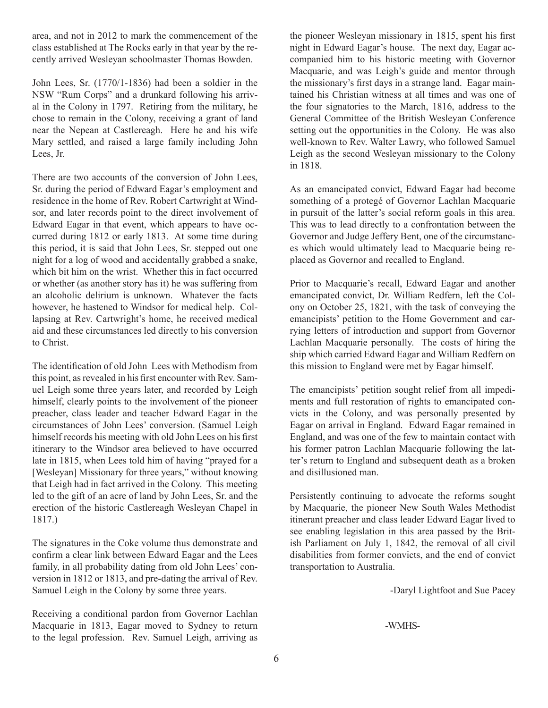area, and not in 2012 to mark the commencement of the class established at The Rocks early in that year by the recently arrived Wesleyan schoolmaster Thomas Bowden.

John Lees, Sr. (1770/1-1836) had been a soldier in the NSW "Rum Corps" and a drunkard following his arrival in the Colony in 1797. Retiring from the military, he chose to remain in the Colony, receiving a grant of land near the Nepean at Castlereagh. Here he and his wife Mary settled, and raised a large family including John Lees, Jr.

There are two accounts of the conversion of John Lees, Sr. during the period of Edward Eagar's employment and residence in the home of Rev. Robert Cartwright at Windsor, and later records point to the direct involvement of Edward Eagar in that event, which appears to have occurred during 1812 or early 1813. At some time during this period, it is said that John Lees, Sr. stepped out one night for a log of wood and accidentally grabbed a snake, which bit him on the wrist. Whether this in fact occurred or whether (as another story has it) he was suffering from an alcoholic delirium is unknown. Whatever the facts however, he hastened to Windsor for medical help. Collapsing at Rev. Cartwright's home, he received medical aid and these circumstances led directly to his conversion to Christ.

The identification of old John Lees with Methodism from this point, as revealed in his first encounter with Rev. Samuel Leigh some three years later, and recorded by Leigh himself, clearly points to the involvement of the pioneer preacher, class leader and teacher Edward Eagar in the circumstances of John Lees' conversion. (Samuel Leigh himself records his meeting with old John Lees on his first itinerary to the Windsor area believed to have occurred late in 1815, when Lees told him of having "prayed for a [Wesleyan] Missionary for three years," without knowing that Leigh had in fact arrived in the Colony. This meeting led to the gift of an acre of land by John Lees, Sr. and the erection of the historic Castlereagh Wesleyan Chapel in 1817.)

The signatures in the Coke volume thus demonstrate and confirm a clear link between Edward Eagar and the Lees family, in all probability dating from old John Lees' conversion in 1812 or 1813, and pre-dating the arrival of Rev. Samuel Leigh in the Colony by some three years.

Receiving a conditional pardon from Governor Lachlan Macquarie in 1813, Eagar moved to Sydney to return to the legal profession. Rev. Samuel Leigh, arriving as the pioneer Wesleyan missionary in 1815, spent his first night in Edward Eagar's house. The next day, Eagar accompanied him to his historic meeting with Governor Macquarie, and was Leigh's guide and mentor through the missionary's first days in a strange land. Eagar maintained his Christian witness at all times and was one of the four signatories to the March, 1816, address to the General Committee of the British Wesleyan Conference setting out the opportunities in the Colony. He was also well-known to Rev. Walter Lawry, who followed Samuel Leigh as the second Wesleyan missionary to the Colony in 1818.

As an emancipated convict, Edward Eagar had become something of a protegé of Governor Lachlan Macquarie in pursuit of the latter's social reform goals in this area. This was to lead directly to a confrontation between the Governor and Judge Jeffery Bent, one of the circumstances which would ultimately lead to Macquarie being replaced as Governor and recalled to England.

Prior to Macquarie's recall, Edward Eagar and another emancipated convict, Dr. William Redfern, left the Colony on October 25, 1821, with the task of conveying the emancipists' petition to the Home Government and carrying letters of introduction and support from Governor Lachlan Macquarie personally. The costs of hiring the ship which carried Edward Eagar and William Redfern on this mission to England were met by Eagar himself.

The emancipists' petition sought relief from all impediments and full restoration of rights to emancipated convicts in the Colony, and was personally presented by Eagar on arrival in England. Edward Eagar remained in England, and was one of the few to maintain contact with his former patron Lachlan Macquarie following the latter's return to England and subsequent death as a broken and disillusioned man.

Persistently continuing to advocate the reforms sought by Macquarie, the pioneer New South Wales Methodist itinerant preacher and class leader Edward Eagar lived to see enabling legislation in this area passed by the British Parliament on July 1, 1842, the removal of all civil disabilities from former convicts, and the end of convict transportation to Australia.

-Daryl Lightfoot and Sue Pacey

-WMHS-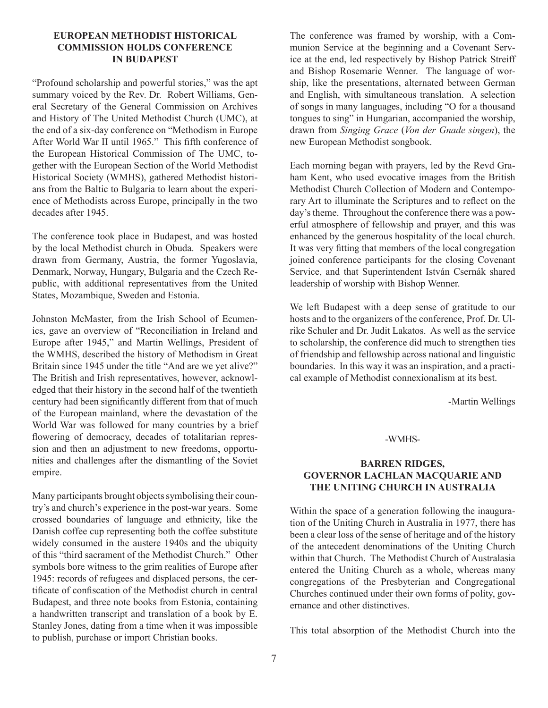#### **European Methodist Historical Commission holds Conference in Budapest**

"Profound scholarship and powerful stories," was the apt summary voiced by the Rev. Dr. Robert Williams, General Secretary of the General Commission on Archives and History of The United Methodist Church (UMC), at the end of a six-day conference on "Methodism in Europe After World War II until 1965." This fifth conference of the European Historical Commission of The UMC, together with the European Section of the World Methodist Historical Society (WMHS), gathered Methodist historians from the Baltic to Bulgaria to learn about the experience of Methodists across Europe, principally in the two decades after 1945.

The conference took place in Budapest, and was hosted by the local Methodist church in Obuda. Speakers were drawn from Germany, Austria, the former Yugoslavia, Denmark, Norway, Hungary, Bulgaria and the Czech Republic, with additional representatives from the United States, Mozambique, Sweden and Estonia.

Johnston McMaster, from the Irish School of Ecumenics, gave an overview of "Reconciliation in Ireland and Europe after 1945," and Martin Wellings, President of the WMHS, described the history of Methodism in Great Britain since 1945 under the title "And are we yet alive?" The British and Irish representatives, however, acknowledged that their history in the second half of the twentieth century had been significantly different from that of much of the European mainland, where the devastation of the World War was followed for many countries by a brief flowering of democracy, decades of totalitarian repression and then an adjustment to new freedoms, opportunities and challenges after the dismantling of the Soviet empire.

Many participants brought objects symbolising their country's and church's experience in the post-war years. Some crossed boundaries of language and ethnicity, like the Danish coffee cup representing both the coffee substitute widely consumed in the austere 1940s and the ubiquity of this "third sacrament of the Methodist Church." Other symbols bore witness to the grim realities of Europe after 1945: records of refugees and displaced persons, the certificate of confiscation of the Methodist church in central Budapest, and three note books from Estonia, containing a handwritten transcript and translation of a book by E. Stanley Jones, dating from a time when it was impossible to publish, purchase or import Christian books.

The conference was framed by worship, with a Communion Service at the beginning and a Covenant Service at the end, led respectively by Bishop Patrick Streiff and Bishop Rosemarie Wenner. The language of worship, like the presentations, alternated between German and English, with simultaneous translation. A selection of songs in many languages, including "O for a thousand tongues to sing" in Hungarian, accompanied the worship, drawn from *Singing Grace* (*Von der Gnade singen*), the new European Methodist songbook.

Each morning began with prayers, led by the Revd Graham Kent, who used evocative images from the British Methodist Church Collection of Modern and Contemporary Art to illuminate the Scriptures and to reflect on the day's theme. Throughout the conference there was a powerful atmosphere of fellowship and prayer, and this was enhanced by the generous hospitality of the local church. It was very fitting that members of the local congregation joined conference participants for the closing Covenant Service, and that Superintendent István Csernák shared leadership of worship with Bishop Wenner.

We left Budapest with a deep sense of gratitude to our hosts and to the organizers of the conference, Prof. Dr. Ulrike Schuler and Dr. Judit Lakatos. As well as the service to scholarship, the conference did much to strengthen ties of friendship and fellowship across national and linguistic boundaries. In this way it was an inspiration, and a practical example of Methodist connexionalism at its best.

-Martin Wellings

#### -WMHS-

#### **BARREN RIDGES, GOVERNOR LACHLAN MACQUARIE AND THE UNITING CHURCH IN AUSTRALIA**

Within the space of a generation following the inauguration of the Uniting Church in Australia in 1977, there has been a clear loss of the sense of heritage and of the history of the antecedent denominations of the Uniting Church within that Church. The Methodist Church of Australasia entered the Uniting Church as a whole, whereas many congregations of the Presbyterian and Congregational Churches continued under their own forms of polity, governance and other distinctives.

This total absorption of the Methodist Church into the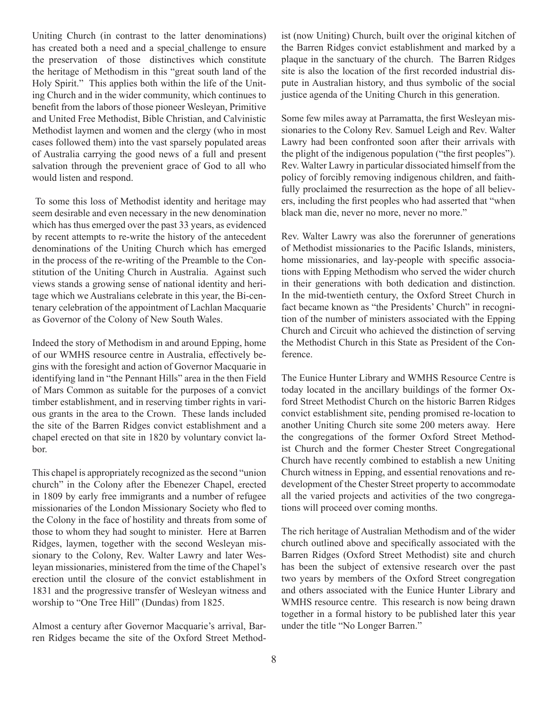Uniting Church (in contrast to the latter denominations) has created both a need and a special challenge to ensure the preservation of those distinctives which constitute the heritage of Methodism in this "great south land of the Holy Spirit." This applies both within the life of the Uniting Church and in the wider community, which continues to benefit from the labors of those pioneer Wesleyan, Primitive and United Free Methodist, Bible Christian, and Calvinistic Methodist laymen and women and the clergy (who in most cases followed them) into the vast sparsely populated areas of Australia carrying the good news of a full and present salvation through the prevenient grace of God to all who would listen and respond.

 To some this loss of Methodist identity and heritage may seem desirable and even necessary in the new denomination which has thus emerged over the past 33 years, as evidenced by recent attempts to re-write the history of the antecedent denominations of the Uniting Church which has emerged in the process of the re-writing of the Preamble to the Constitution of the Uniting Church in Australia. Against such views stands a growing sense of national identity and heritage which we Australians celebrate in this year, the Bi-centenary celebration of the appointment of Lachlan Macquarie as Governor of the Colony of New South Wales.

Indeed the story of Methodism in and around Epping, home of our WMHS resource centre in Australia, effectively begins with the foresight and action of Governor Macquarie in identifying land in "the Pennant Hills" area in the then Field of Mars Common as suitable for the purposes of a convict timber establishment, and in reserving timber rights in various grants in the area to the Crown. These lands included the site of the Barren Ridges convict establishment and a chapel erected on that site in 1820 by voluntary convict labor.

This chapel is appropriately recognized as the second "union church" in the Colony after the Ebenezer Chapel, erected in 1809 by early free immigrants and a number of refugee missionaries of the London Missionary Society who fled to the Colony in the face of hostility and threats from some of those to whom they had sought to minister. Here at Barren Ridges, laymen, together with the second Wesleyan missionary to the Colony, Rev. Walter Lawry and later Wesleyan missionaries, ministered from the time of the Chapel's erection until the closure of the convict establishment in 1831 and the progressive transfer of Wesleyan witness and worship to "One Tree Hill" (Dundas) from 1825.

Almost a century after Governor Macquarie's arrival, Barren Ridges became the site of the Oxford Street Methodist (now Uniting) Church, built over the original kitchen of the Barren Ridges convict establishment and marked by a plaque in the sanctuary of the church. The Barren Ridges site is also the location of the first recorded industrial dispute in Australian history, and thus symbolic of the social justice agenda of the Uniting Church in this generation.

Some few miles away at Parramatta, the first Wesleyan missionaries to the Colony Rev. Samuel Leigh and Rev. Walter Lawry had been confronted soon after their arrivals with the plight of the indigenous population ("the first peoples"). Rev. Walter Lawry in particular dissociated himself from the policy of forcibly removing indigenous children, and faithfully proclaimed the resurrection as the hope of all believers, including the first peoples who had asserted that "when black man die, never no more, never no more."

Rev. Walter Lawry was also the forerunner of generations of Methodist missionaries to the Pacific Islands, ministers, home missionaries, and lay-people with specific associations with Epping Methodism who served the wider church in their generations with both dedication and distinction. In the mid-twentieth century, the Oxford Street Church in fact became known as "the Presidents' Church" in recognition of the number of ministers associated with the Epping Church and Circuit who achieved the distinction of serving the Methodist Church in this State as President of the Conference.

The Eunice Hunter Library and WMHS Resource Centre is today located in the ancillary buildings of the former Oxford Street Methodist Church on the historic Barren Ridges convict establishment site, pending promised re-location to another Uniting Church site some 200 meters away. Here the congregations of the former Oxford Street Methodist Church and the former Chester Street Congregational Church have recently combined to establish a new Uniting Church witness in Epping, and essential renovations and redevelopment of the Chester Street property to accommodate all the varied projects and activities of the two congregations will proceed over coming months.

The rich heritage of Australian Methodism and of the wider church outlined above and specifically associated with the Barren Ridges (Oxford Street Methodist) site and church has been the subject of extensive research over the past two years by members of the Oxford Street congregation and others associated with the Eunice Hunter Library and WMHS resource centre. This research is now being drawn together in a formal history to be published later this year under the title "No Longer Barren."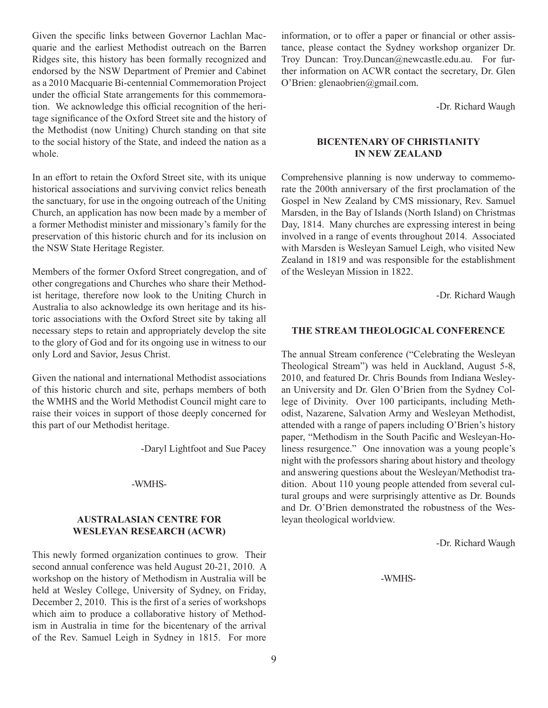Given the specific links between Governor Lachlan Macquarie and the earliest Methodist outreach on the Barren Ridges site, this history has been formally recognized and endorsed by the NSW Department of Premier and Cabinet as a 2010 Macquarie Bi-centennial Commemoration Project under the official State arrangements for this commemoration. We acknowledge this official recognition of the heritage significance of the Oxford Street site and the history of the Methodist (now Uniting) Church standing on that site to the social history of the State, and indeed the nation as a whole.

In an effort to retain the Oxford Street site, with its unique historical associations and surviving convict relics beneath the sanctuary, for use in the ongoing outreach of the Uniting Church, an application has now been made by a member of a former Methodist minister and missionary's family for the preservation of this historic church and for its inclusion on the NSW State Heritage Register.

Members of the former Oxford Street congregation, and of other congregations and Churches who share their Methodist heritage, therefore now look to the Uniting Church in Australia to also acknowledge its own heritage and its historic associations with the Oxford Street site by taking all necessary steps to retain and appropriately develop the site to the glory of God and for its ongoing use in witness to our only Lord and Savior, Jesus Christ.

Given the national and international Methodist associations of this historic church and site, perhaps members of both the WMHS and the World Methodist Council might care to raise their voices in support of those deeply concerned for this part of our Methodist heritage.

-Daryl Lightfoot and Sue Pacey

#### -WMHS-

#### **Australasian Centre for Wesleyan Research (ACWR)**

This newly formed organization continues to grow. Their second annual conference was held August 20-21, 2010. A workshop on the history of Methodism in Australia will be held at Wesley College, University of Sydney, on Friday, December 2, 2010. This is the first of a series of workshops which aim to produce a collaborative history of Methodism in Australia in time for the bicentenary of the arrival of the Rev. Samuel Leigh in Sydney in 1815. For more

information, or to offer a paper or financial or other assistance, please contact the Sydney workshop organizer Dr. Troy Duncan: Troy.Duncan@newcastle.edu.au. For further information on ACWR contact the secretary, Dr. Glen O'Brien: glenaobrien@gmail.com.

-Dr. Richard Waugh

#### **Bicentenary of Christianity in New Zealand**

Comprehensive planning is now underway to commemorate the 200th anniversary of the first proclamation of the Gospel in New Zealand by CMS missionary, Rev. Samuel Marsden, in the Bay of Islands (North Island) on Christmas Day, 1814. Many churches are expressing interest in being involved in a range of events throughout 2014. Associated with Marsden is Wesleyan Samuel Leigh, who visited New Zealand in 1819 and was responsible for the establishment of the Wesleyan Mission in 1822.

-Dr. Richard Waugh

#### **The Stream Theological Conference**

The annual Stream conference ("Celebrating the Wesleyan Theological Stream") was held in Auckland, August 5-8, 2010, and featured Dr. Chris Bounds from Indiana Wesleyan University and Dr. Glen O'Brien from the Sydney College of Divinity. Over 100 participants, including Methodist, Nazarene, Salvation Army and Wesleyan Methodist, attended with a range of papers including O'Brien's history paper, "Methodism in the South Pacific and Wesleyan-Holiness resurgence." One innovation was a young people's night with the professors sharing about history and theology and answering questions about the Wesleyan/Methodist tradition. About 110 young people attended from several cultural groups and were surprisingly attentive as Dr. Bounds and Dr. O'Brien demonstrated the robustness of the Wesleyan theological worldview.

-Dr. Richard Waugh

-WMHS-